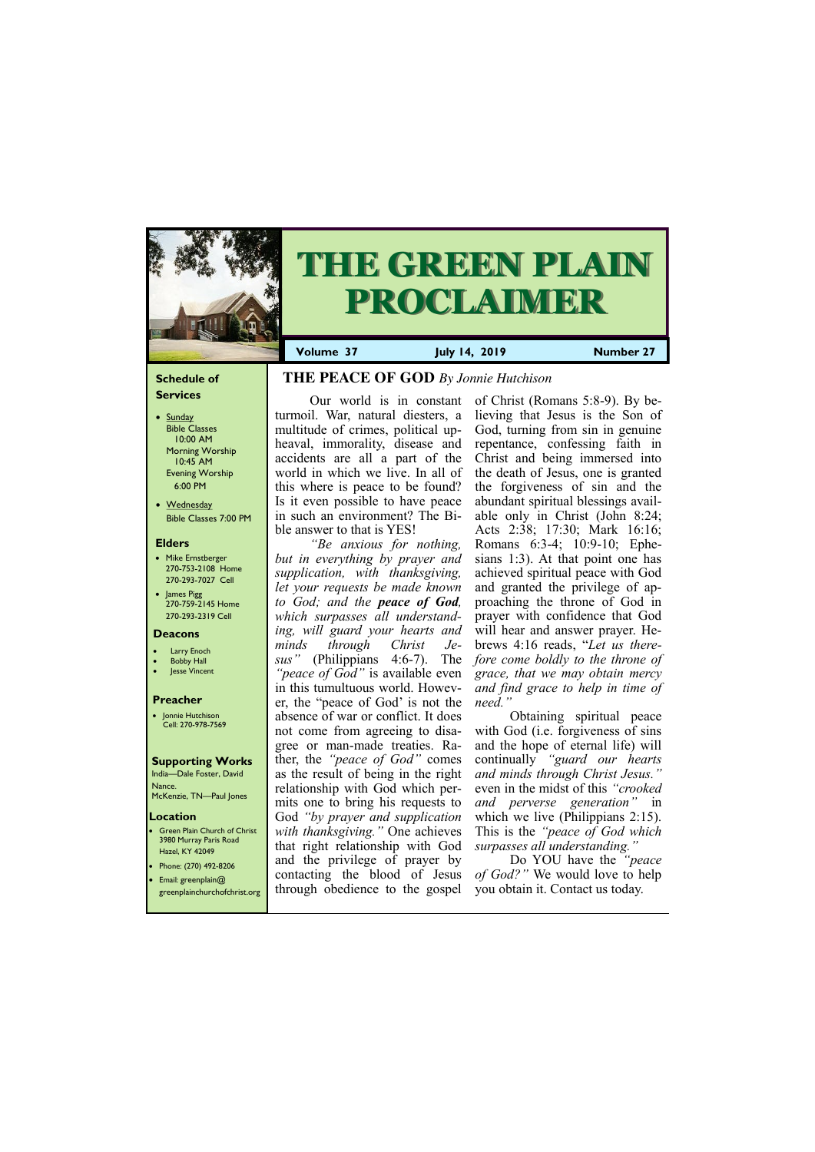#### **Schedule of Services**

- Sunday Bible Classes 10:00 AM Morning Worship 10:45 AM Evening Worship 6:00 PM
- Wednesday Bible Classes 7:00 PM

#### **Elders**

**Green Plain Church of Christ** 3980 Murray Paris Road Hazel, KY 42049 • Phone: (270) 492-8206

- Mike Ernstberger 270-753-2108 Home 270-293-7027 Cell
- James Pigg 270-759-2145 Home 270-293-2319 Cell



# **THE GREEN PLAIN PROCLAIMER**

- **Larry Enoch**
- **Bobby Hall**
- Jesse Vincent

#### **Location**

• Email: greenplain@ greenplainchurchofchrist.org **Volume 37 July 14, 2019 Number 27**

#### **Deacons**

#### **Preacher**

• Jonnie Hutchison Cell: 270-978-7569

#### **Supporting Works**

India—Dale Foster, David Nance. McKenzie, TN—Paul Jones

### **THE PEACE OF GOD** *By Jonnie Hutchison*

Our world is in constant turmoil. War, natural diesters, a multitude of crimes, political upheaval, immorality, disease and accidents are all a part of the world in which we live. In all of this where is peace to be found? Is it even possible to have peace in such an environment? The Bible answer to that is YES!

*"Be anxious for nothing, but in everything by prayer and supplication, with thanksgiving, let your requests be made known to God; and the peace of God, which surpasses all understanding, will guard your hearts and minds through Christ Jesus"* (Philippians 4:6-7). The *"peace of God"* is available even in this tumultuous world. However, the "peace of God' is not the absence of war or conflict. It does not come from agreeing to disagree or man-made treaties. Rather, the *"peace of God"* comes as the result of being in the right relationship with God which permits one to bring his requests to God *"by prayer and supplication with thanksgiving."* One achieves that right relationship with God and the privilege of prayer by

of Christ (Romans 5:8-9). By believing that Jesus is the Son of God, turning from sin in genuine repentance, confessing faith in Christ and being immersed into the death of Jesus, one is granted the forgiveness of sin and the abundant spiritual blessings available only in Christ (John 8:24; Acts 2:38; 17:30; Mark 16:16; Romans 6:3-4; 10:9-10; Ephesians 1:3). At that point one has achieved spiritual peace with God and granted the privilege of approaching the throne of God in prayer with confidence that God will hear and answer prayer. Hebrews 4:16 reads, "*Let us therefore come boldly to the throne of grace, that we may obtain mercy and find grace to help in time of need."*

contacting the blood of Jesus *of God?"* We would love to help through obedience to the gospel you obtain it. Contact us today.

Obtaining spiritual peace with God (*i.e.* forgiveness of sins and the hope of eternal life) will continually *"guard our hearts and minds through Christ Jesus."*  even in the midst of this *"crooked and perverse generation"* in which we live (Philippians 2:15). This is the *"peace of God which surpasses all understanding."* 

Do YOU have the *"peace*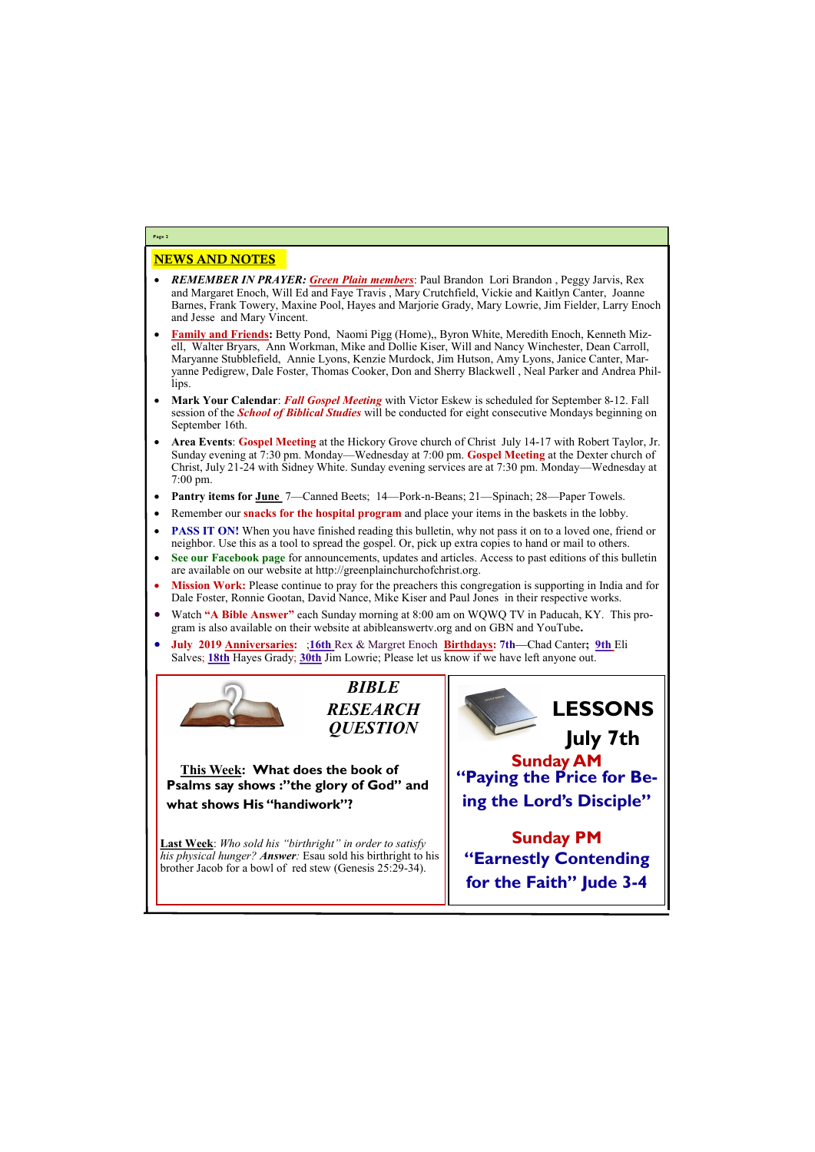#### NEWS AND NOTES

- *REMEMBER IN PRAYER: Green Plain members*: Paul Brandon Lori Brandon , Peggy Jarvis, Rex and Margaret Enoch, Will Ed and Faye Travis , Mary Crutchfield, Vickie and Kaitlyn Canter, Joanne Barnes, Frank Towery, Maxine Pool, Hayes and Marjorie Grady, Mary Lowrie, Jim Fielder, Larry Enoch and Jesse and Mary Vincent.
- **Family and Friends:** Betty Pond, Naomi Pigg (Home),, Byron White, Meredith Enoch, Kenneth Mizell, Walter Bryars, Ann Workman, Mike and Dollie Kiser, Will and Nancy Winchester, Dean Carroll, Maryanne Stubblefield, Annie Lyons, Kenzie Murdock, Jim Hutson, Amy Lyons, Janice Canter, Maryanne Pedigrew, Dale Foster, Thomas Cooker, Don and Sherry Blackwell , Neal Parker and Andrea Phillips.
- **Mark Your Calendar**: *Fall Gospel Meeting* with Victor Eskew is scheduled for September 8-12. Fall session of the *School of Biblical Studies* will be conducted for eight consecutive Mondays beginning on September 16th.
- **Area Events**: **Gospel Meeting** at the Hickory Grove church of Christ July 14-17 with Robert Taylor, Jr. Sunday evening at 7:30 pm. Monday—Wednesday at 7:00 pm. **Gospel Meeting** at the Dexter church of Christ, July 21-24 with Sidney White. Sunday evening services are at 7:30 pm. Monday—Wednesday at 7:00 pm.
- **Pantry items for June** 7—Canned Beets; 14—Pork-n-Beans; 21—Spinach; 28—Paper Towels.
- Remember our **snacks for the hospital program** and place your items in the baskets in the lobby.
- **PASS IT ON!** When you have finished reading this bulletin, why not pass it on to a loved one, friend or neighbor. Use this as a tool to spread the gospel. Or, pick up extra copies to hand or mail to others.
- **See our Facebook page** for announcements, updates and articles. Access to past editions of this bulletin are available on our website at http://greenplainchurchofchrist.org.
- **Mission Work:** Please continue to pray for the preachers this congregation is supporting in India and for Dale Foster, Ronnie Gootan, David Nance, Mike Kiser and Paul Jones in their respective works.
- Watch **"A Bible Answer"** each Sunday morning at 8:00 am on WQWQ TV in Paducah, KY. This program is also available on their website at abibleanswertv.org and on GBN and YouTube**.**
- **July 2019 Anniversaries:** ;**16th** Rex & Margret Enoch **Birthdays: 7th—**Chad Canter**; 9th** Eli Salves; **18th** Hayes Grady; **30th** Jim Lowrie; Please let us know if we have left anyone out.



**Page 2**



**This Week: What does the book of Psalms say shows :"the glory of God" and what shows His "handiwork"?**

**Last Week**: *Who sold his "birthright" in order to satisfy his physical hunger? Answer:* Esau sold his birthright to his brother Jacob for a bowl of red stew (Genesis 25:29-34).



| $\frac{1}{2}$ crowner sacoo for a cown of fear side $\frac{1}{2}$ concess 23.27 S in | for the Faith" Jude 3-4 |  |
|--------------------------------------------------------------------------------------|-------------------------|--|
|                                                                                      |                         |  |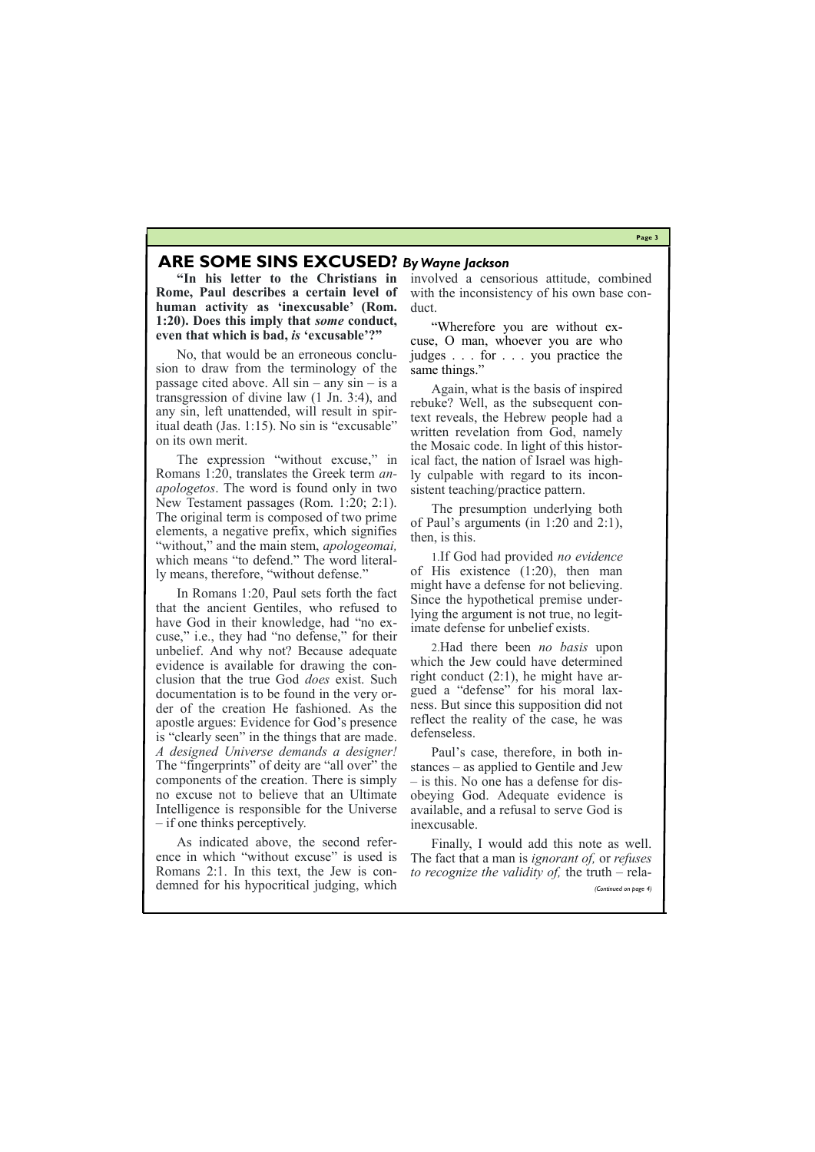**Page 3**

#### **ARE SOME SINS EXCUSED?** *By Wayne Jackson*

**"In his letter to the Christians in Rome, Paul describes a certain level of human activity as 'inexcusable' (Rom. 1:20). Does this imply that** *some* **conduct, even that which is bad,** *is* **'excusable'?"**

No, that would be an erroneous conclusion to draw from the terminology of the passage cited above. All  $sin - any sin - is a$ transgression of divine law (1 Jn. 3:4), and any sin, left unattended, will result in spiritual death (Jas. 1:15). No sin is "excusable" on its own merit.

The expression "without excuse," in Romans 1:20, translates the Greek term *anapologetos*. The word is found only in two New Testament passages (Rom. 1:20; 2:1). The original term is composed of two prime elements, a negative prefix, which signifies "without," and the main stem, *apologeomai,* which means "to defend." The word literally means, therefore, "without defense."

"Wherefore you are without excuse, O man, whoever you are who judges . . . for . . . you practice the same things."

In Romans 1:20, Paul sets forth the fact that the ancient Gentiles, who refused to have God in their knowledge, had "no excuse," i.e., they had "no defense," for their unbelief. And why not? Because adequate evidence is available for drawing the conclusion that the true God *does* exist. Such documentation is to be found in the very order of the creation He fashioned. As the apostle argues: Evidence for God's presence is "clearly seen" in the things that are made. *A designed Universe demands a designer!* The "fingerprints" of deity are "all over" the components of the creation. There is simply no excuse not to believe that an Ultimate Intelligence is responsible for the Universe – if one thinks perceptively.

As indicated above, the second refer-

involved a censorious attitude, combined with the inconsistency of his own base conduct.

Again, what is the basis of inspired rebuke? Well, as the subsequent context reveals, the Hebrew people had a written revelation from God, namely the Mosaic code. In light of this historical fact, the nation of Israel was highly culpable with regard to its inconsistent teaching/practice pattern.

The presumption underlying both of Paul's arguments (in 1:20 and 2:1), then, is this.

ence in which "without excuse" is used is Romans 2:1. In this text, the Jew is con- *to recognize the validity of*, the truth – relademned for his hypocritical judging, which Finally, I would add this note as well. The fact that a man is *ignorant of,* or *refuses (Continued on page 4)*

1.If God had provided *no evidence* of His existence (1:20), then man might have a defense for not believing. Since the hypothetical premise underlying the argument is not true, no legitimate defense for unbelief exists.

2.Had there been *no basis* upon which the Jew could have determined right conduct (2:1), he might have argued a "defense" for his moral laxness. But since this supposition did not reflect the reality of the case, he was defenseless.

Paul's case, therefore, in both instances – as applied to Gentile and Jew – is this. No one has a defense for disobeying God. Adequate evidence is available, and a refusal to serve God is inexcusable.